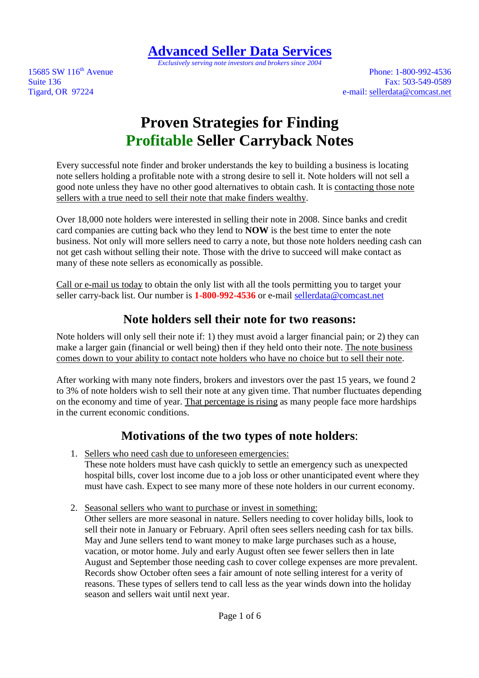**Advanced Seller Data Services**

*Exclusively serving note investors and brokers since 2004* 

15685 SW 116<sup>th</sup> Avenue Phone: 1-800-992-4536 Suite 136 **Fax:** 503-549-0589 Tigard, OR 97224 e-mail: sellerdata@comcast.net

# **Proven Strategies for Finding Profitable Seller Carryback Notes**

Every successful note finder and broker understands the key to building a business is locating note sellers holding a profitable note with a strong desire to sell it. Note holders will not sell a good note unless they have no other good alternatives to obtain cash. It is contacting those note sellers with a true need to sell their note that make finders wealthy.

Over 18,000 note holders were interested in selling their note in 2008. Since banks and credit card companies are cutting back who they lend to **NOW** is the best time to enter the note business. Not only will more sellers need to carry a note, but those note holders needing cash can not get cash without selling their note. Those with the drive to succeed will make contact as many of these note sellers as economically as possible.

Call or e-mail us today to obtain the only list with all the tools permitting you to target your seller carry-back list. Our number is **1-800-992-4536** or e-mail sellerdata@comcast.net

## **Note holders sell their note for two reasons:**

Note holders will only sell their note if: 1) they must avoid a larger financial pain; or 2) they can make a larger gain (financial or well being) then if they held onto their note. The note business comes down to your ability to contact note holders who have no choice but to sell their note.

After working with many note finders, brokers and investors over the past 15 years, we found 2 to 3% of note holders wish to sell their note at any given time. That number fluctuates depending on the economy and time of year. That percentage is rising as many people face more hardships in the current economic conditions.

### **Motivations of the two types of note holders**:

- 1. Sellers who need cash due to unforeseen emergencies: These note holders must have cash quickly to settle an emergency such as unexpected hospital bills, cover lost income due to a job loss or other unanticipated event where they must have cash. Expect to see many more of these note holders in our current economy.
- 2. Seasonal sellers who want to purchase or invest in something:

Other sellers are more seasonal in nature. Sellers needing to cover holiday bills, look to sell their note in January or February. April often sees sellers needing cash for tax bills. May and June sellers tend to want money to make large purchases such as a house, vacation, or motor home. July and early August often see fewer sellers then in late August and September those needing cash to cover college expenses are more prevalent. Records show October often sees a fair amount of note selling interest for a verity of reasons. These types of sellers tend to call less as the year winds down into the holiday season and sellers wait until next year.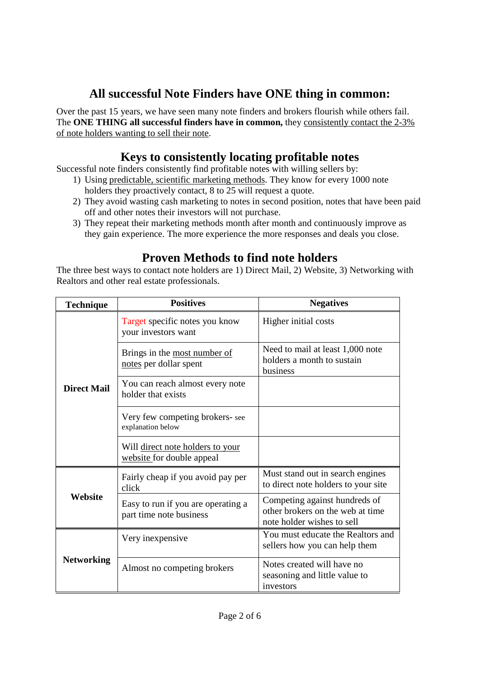## **All successful Note Finders have ONE thing in common:**

Over the past 15 years, we have seen many note finders and brokers flourish while others fail. The **ONE THING all successful finders have in common,** they consistently contact the 2-3% of note holders wanting to sell their note.

### **Keys to consistently locating profitable notes**

Successful note finders consistently find profitable notes with willing sellers by:

- 1) Using predictable, scientific marketing methods. They know for every 1000 note holders they proactively contact, 8 to 25 will request a quote.
- 2) They avoid wasting cash marketing to notes in second position, notes that have been paid off and other notes their investors will not purchase.
- 3) They repeat their marketing methods month after month and continuously improve as they gain experience. The more experience the more responses and deals you close.

## **Proven Methods to find note holders**

The three best ways to contact note holders are 1) Direct Mail, 2) Website, 3) Networking with Realtors and other real estate professionals.

| <b>Technique</b>   | <b>Positives</b>                                              | <b>Negatives</b>                                                                                |
|--------------------|---------------------------------------------------------------|-------------------------------------------------------------------------------------------------|
| <b>Direct Mail</b> | Target specific notes you know<br>your investors want         | Higher initial costs                                                                            |
|                    | Brings in the most number of<br>notes per dollar spent        | Need to mail at least 1,000 note<br>holders a month to sustain<br>business                      |
|                    | You can reach almost every note<br>holder that exists         |                                                                                                 |
|                    | Very few competing brokers-see<br>explanation below           |                                                                                                 |
|                    | Will direct note holders to your<br>website for double appeal |                                                                                                 |
| Website            | Fairly cheap if you avoid pay per<br>click                    | Must stand out in search engines<br>to direct note holders to your site                         |
|                    | Easy to run if you are operating a<br>part time note business | Competing against hundreds of<br>other brokers on the web at time<br>note holder wishes to sell |
| <b>Networking</b>  | Very inexpensive                                              | You must educate the Realtors and<br>sellers how you can help them                              |
|                    | Almost no competing brokers                                   | Notes created will have no<br>seasoning and little value to<br>investors                        |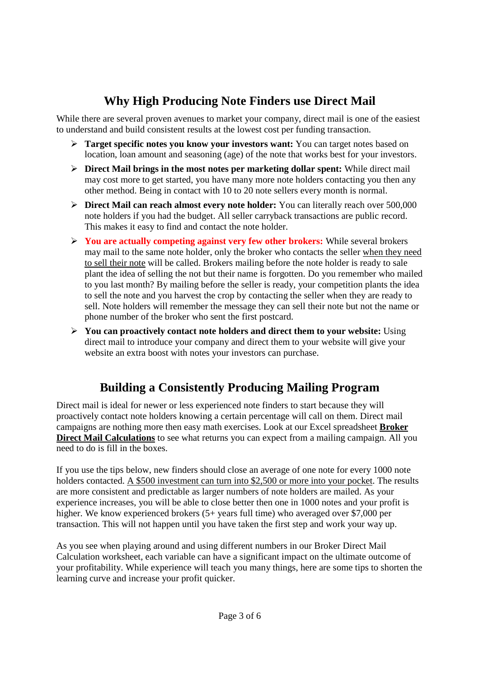## **Why High Producing Note Finders use Direct Mail**

While there are several proven avenues to market your company, direct mail is one of the easiest to understand and build consistent results at the lowest cost per funding transaction.

- **Target specific notes you know your investors want:** You can target notes based on location, loan amount and seasoning (age) of the note that works best for your investors.
- **Direct Mail brings in the most notes per marketing dollar spent:** While direct mail may cost more to get started, you have many more note holders contacting you then any other method. Being in contact with 10 to 20 note sellers every month is normal.
- **Direct Mail can reach almost every note holder:** You can literally reach over 500,000 note holders if you had the budget. All seller carryback transactions are public record. This makes it easy to find and contact the note holder.
- **You are actually competing against very few other brokers:** While several brokers may mail to the same note holder, only the broker who contacts the seller when they need to sell their note will be called. Brokers mailing before the note holder is ready to sale plant the idea of selling the not but their name is forgotten. Do you remember who mailed to you last month? By mailing before the seller is ready, your competition plants the idea to sell the note and you harvest the crop by contacting the seller when they are ready to sell. Note holders will remember the message they can sell their note but not the name or phone number of the broker who sent the first postcard.
- **You can proactively contact note holders and direct them to your website:** Using direct mail to introduce your company and direct them to your website will give your website an extra boost with notes your investors can purchase.

## **Building a Consistently Producing Mailing Program**

Direct mail is ideal for newer or less experienced note finders to start because they will proactively contact note holders knowing a certain percentage will call on them. Direct mail campaigns are nothing more then easy math exercises. Look at our Excel spreadsheet **Broker Direct Mail Calculations** to see what returns you can expect from a mailing campaign. All you need to do is fill in the boxes.

If you use the tips below, new finders should close an average of one note for every 1000 note holders contacted. A \$500 investment can turn into \$2,500 or more into your pocket. The results are more consistent and predictable as larger numbers of note holders are mailed. As your experience increases, you will be able to close better then one in 1000 notes and your profit is higher. We know experienced brokers (5+ years full time) who averaged over \$7,000 per transaction. This will not happen until you have taken the first step and work your way up.

As you see when playing around and using different numbers in our Broker Direct Mail Calculation worksheet, each variable can have a significant impact on the ultimate outcome of your profitability. While experience will teach you many things, here are some tips to shorten the learning curve and increase your profit quicker.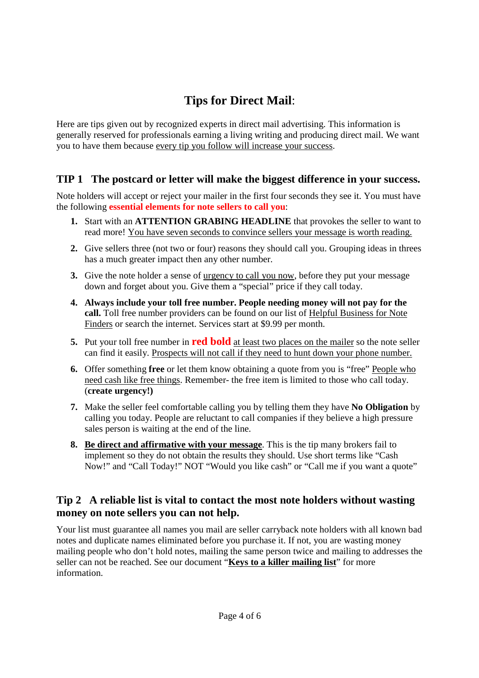## **Tips for Direct Mail**:

Here are tips given out by recognized experts in direct mail advertising. This information is generally reserved for professionals earning a living writing and producing direct mail. We want you to have them because every tip you follow will increase your success.

#### **TIP 1 The postcard or letter will make the biggest difference in your success.**

Note holders will accept or reject your mailer in the first four seconds they see it. You must have the following **essential elements for note sellers to call you**:

- **1.** Start with an **ATTENTION GRABING HEADLINE** that provokes the seller to want to read more! You have seven seconds to convince sellers your message is worth reading.
- **2.** Give sellers three (not two or four) reasons they should call you. Grouping ideas in threes has a much greater impact then any other number.
- **3.** Give the note holder a sense of urgency to call you now, before they put your message down and forget about you. Give them a "special" price if they call today.
- **4. Always include your toll free number. People needing money will not pay for the call.** Toll free number providers can be found on our list of Helpful Business for Note Finders or search the internet. Services start at \$9.99 per month.
- **5.** Put your toll free number in **red bold** at least two places on the mailer so the note seller can find it easily. Prospects will not call if they need to hunt down your phone number.
- **6.** Offer something **free** or let them know obtaining a quote from you is "free" People who need cash like free things. Remember- the free item is limited to those who call today. (**create urgency!)**
- **7.** Make the seller feel comfortable calling you by telling them they have **No Obligation** by calling you today. People are reluctant to call companies if they believe a high pressure sales person is waiting at the end of the line.
- **8. Be direct and affirmative with your message**. This is the tip many brokers fail to implement so they do not obtain the results they should. Use short terms like "Cash Now!" and "Call Today!" NOT "Would you like cash" or "Call me if you want a quote"

#### **Tip 2 A reliable list is vital to contact the most note holders without wasting money on note sellers you can not help.**

Your list must guarantee all names you mail are seller carryback note holders with all known bad notes and duplicate names eliminated before you purchase it. If not, you are wasting money mailing people who don't hold notes, mailing the same person twice and mailing to addresses the seller can not be reached. See our document "**Keys to a killer mailing list**" for more information.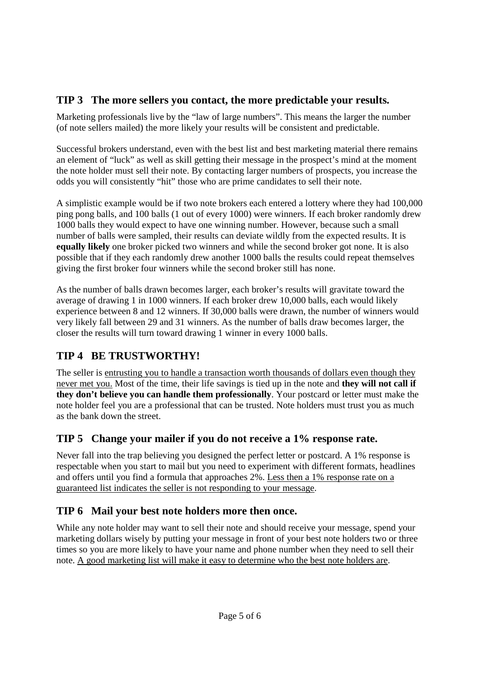#### **TIP 3 The more sellers you contact, the more predictable your results.**

Marketing professionals live by the "law of large numbers". This means the larger the number (of note sellers mailed) the more likely your results will be consistent and predictable.

Successful brokers understand, even with the best list and best marketing material there remains an element of "luck" as well as skill getting their message in the prospect's mind at the moment the note holder must sell their note. By contacting larger numbers of prospects, you increase the odds you will consistently "hit" those who are prime candidates to sell their note.

A simplistic example would be if two note brokers each entered a lottery where they had 100,000 ping pong balls, and 100 balls (1 out of every 1000) were winners. If each broker randomly drew 1000 balls they would expect to have one winning number. However, because such a small number of balls were sampled, their results can deviate wildly from the expected results. It is **equally likely** one broker picked two winners and while the second broker got none. It is also possible that if they each randomly drew another 1000 balls the results could repeat themselves giving the first broker four winners while the second broker still has none.

As the number of balls drawn becomes larger, each broker's results will gravitate toward the average of drawing 1 in 1000 winners. If each broker drew 10,000 balls, each would likely experience between 8 and 12 winners. If 30,000 balls were drawn, the number of winners would very likely fall between 29 and 31 winners. As the number of balls draw becomes larger, the closer the results will turn toward drawing 1 winner in every 1000 balls.

## **TIP 4 BE TRUSTWORTHY!**

The seller is entrusting you to handle a transaction worth thousands of dollars even though they never met you. Most of the time, their life savings is tied up in the note and **they will not call if they don't believe you can handle them professionally**. Your postcard or letter must make the note holder feel you are a professional that can be trusted. Note holders must trust you as much as the bank down the street.

### **TIP 5 Change your mailer if you do not receive a 1% response rate.**

Never fall into the trap believing you designed the perfect letter or postcard. A 1% response is respectable when you start to mail but you need to experiment with different formats, headlines and offers until you find a formula that approaches 2%. Less then a 1% response rate on a guaranteed list indicates the seller is not responding to your message.

### **TIP 6 Mail your best note holders more then once.**

While any note holder may want to sell their note and should receive your message, spend your marketing dollars wisely by putting your message in front of your best note holders two or three times so you are more likely to have your name and phone number when they need to sell their note. A good marketing list will make it easy to determine who the best note holders are.